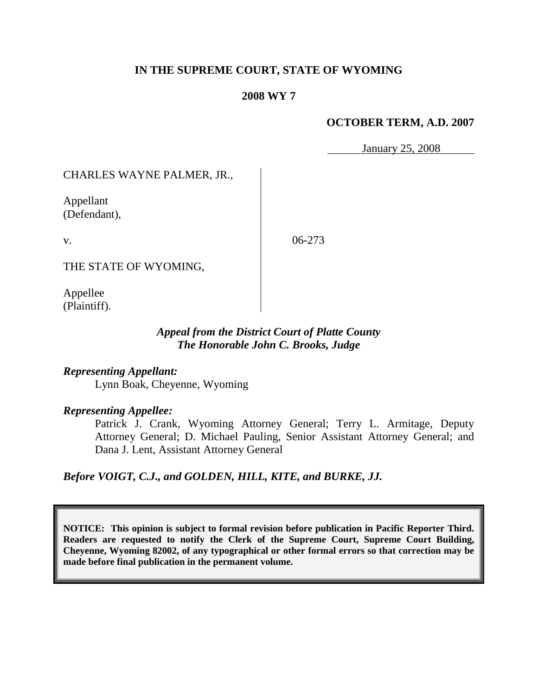## **IN THE SUPREME COURT, STATE OF WYOMING**

#### **2008 WY 7**

#### **OCTOBER TERM, A.D. 2007**

January 25, 2008

CHARLES WAYNE PALMER, JR.,

Appellant (Defendant),

v.

06-273

THE STATE OF WYOMING,

Appellee (Plaintiff).

# *Appeal from the District Court of Platte County The Honorable John C. Brooks, Judge*

*Representing Appellant:* Lynn Boak, Cheyenne, Wyoming

## *Representing Appellee:*

Patrick J. Crank, Wyoming Attorney General; Terry L. Armitage, Deputy Attorney General; D. Michael Pauling, Senior Assistant Attorney General; and Dana J. Lent, Assistant Attorney General

*Before VOIGT, C.J., and GOLDEN, HILL, KITE, and BURKE, JJ.*

**NOTICE: This opinion is subject to formal revision before publication in Pacific Reporter Third. Readers are requested to notify the Clerk of the Supreme Court, Supreme Court Building, Cheyenne, Wyoming 82002, of any typographical or other formal errors so that correction may be made before final publication in the permanent volume.**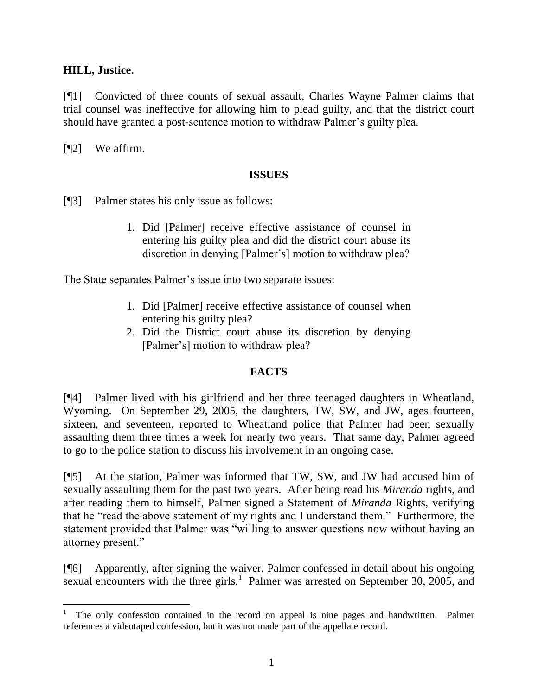## **HILL, Justice.**

[¶1] Convicted of three counts of sexual assault, Charles Wayne Palmer claims that trial counsel was ineffective for allowing him to plead guilty, and that the district court should have granted a post-sentence motion to withdraw Palmer's guilty plea.

[¶2] We affirm.

l

## **ISSUES**

[¶3] Palmer states his only issue as follows:

1. Did [Palmer] receive effective assistance of counsel in entering his guilty plea and did the district court abuse its discretion in denying [Palmer's] motion to withdraw plea?

The State separates Palmer's issue into two separate issues:

- 1. Did [Palmer] receive effective assistance of counsel when entering his guilty plea?
- 2. Did the District court abuse its discretion by denying [Palmer's] motion to withdraw plea?

# **FACTS**

[¶4] Palmer lived with his girlfriend and her three teenaged daughters in Wheatland, Wyoming. On September 29, 2005, the daughters, TW, SW, and JW, ages fourteen, sixteen, and seventeen, reported to Wheatland police that Palmer had been sexually assaulting them three times a week for nearly two years. That same day, Palmer agreed to go to the police station to discuss his involvement in an ongoing case.

[¶5] At the station, Palmer was informed that TW, SW, and JW had accused him of sexually assaulting them for the past two years. After being read his *Miranda* rights, and after reading them to himself, Palmer signed a Statement of *Miranda* Rights, verifying that he "read the above statement of my rights and I understand them." Furthermore, the statement provided that Palmer was "willing to answer questions now without having an attorney present."

[¶6] Apparently, after signing the waiver, Palmer confessed in detail about his ongoing sexual encounters with the three girls.<sup>1</sup> Palmer was arrested on September 30, 2005, and

<sup>1</sup> The only confession contained in the record on appeal is nine pages and handwritten. Palmer references a videotaped confession, but it was not made part of the appellate record.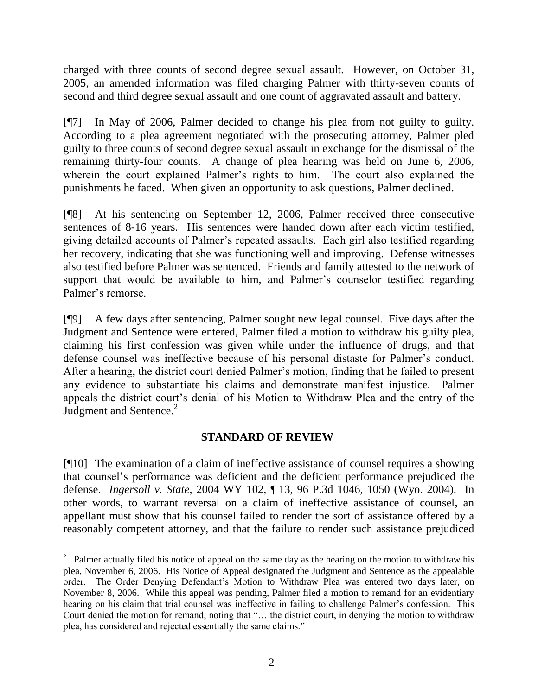charged with three counts of second degree sexual assault. However, on October 31, 2005, an amended information was filed charging Palmer with thirty-seven counts of second and third degree sexual assault and one count of aggravated assault and battery.

[¶7] In May of 2006, Palmer decided to change his plea from not guilty to guilty. According to a plea agreement negotiated with the prosecuting attorney, Palmer pled guilty to three counts of second degree sexual assault in exchange for the dismissal of the remaining thirty-four counts. A change of plea hearing was held on June 6, 2006, wherein the court explained Palmer's rights to him. The court also explained the punishments he faced. When given an opportunity to ask questions, Palmer declined.

[¶8] At his sentencing on September 12, 2006, Palmer received three consecutive sentences of 8-16 years. His sentences were handed down after each victim testified, giving detailed accounts of Palmer's repeated assaults. Each girl also testified regarding her recovery, indicating that she was functioning well and improving. Defense witnesses also testified before Palmer was sentenced. Friends and family attested to the network of support that would be available to him, and Palmer's counselor testified regarding Palmer's remorse.

[¶9] A few days after sentencing, Palmer sought new legal counsel. Five days after the Judgment and Sentence were entered, Palmer filed a motion to withdraw his guilty plea, claiming his first confession was given while under the influence of drugs, and that defense counsel was ineffective because of his personal distaste for Palmer's conduct. After a hearing, the district court denied Palmer's motion, finding that he failed to present any evidence to substantiate his claims and demonstrate manifest injustice. Palmer appeals the district court's denial of his Motion to Withdraw Plea and the entry of the Judgment and Sentence.<sup>2</sup>

# **STANDARD OF REVIEW**

[¶10] The examination of a claim of ineffective assistance of counsel requires a showing that counsel's performance was deficient and the deficient performance prejudiced the defense. *Ingersoll v. State*, 2004 WY 102, ¶ 13, 96 P.3d 1046, 1050 (Wyo. 2004). In other words, to warrant reversal on a claim of ineffective assistance of counsel, an appellant must show that his counsel failed to render the sort of assistance offered by a reasonably competent attorney, and that the failure to render such assistance prejudiced

<sup>&</sup>lt;sup>2</sup> Palmer actually filed his notice of appeal on the same day as the hearing on the motion to withdraw his plea, November 6, 2006. His Notice of Appeal designated the Judgment and Sentence as the appealable order. The Order Denying Defendant's Motion to Withdraw Plea was entered two days later, on November 8, 2006. While this appeal was pending, Palmer filed a motion to remand for an evidentiary hearing on his claim that trial counsel was ineffective in failing to challenge Palmer's confession. This Court denied the motion for remand, noting that "… the district court, in denying the motion to withdraw plea, has considered and rejected essentially the same claims."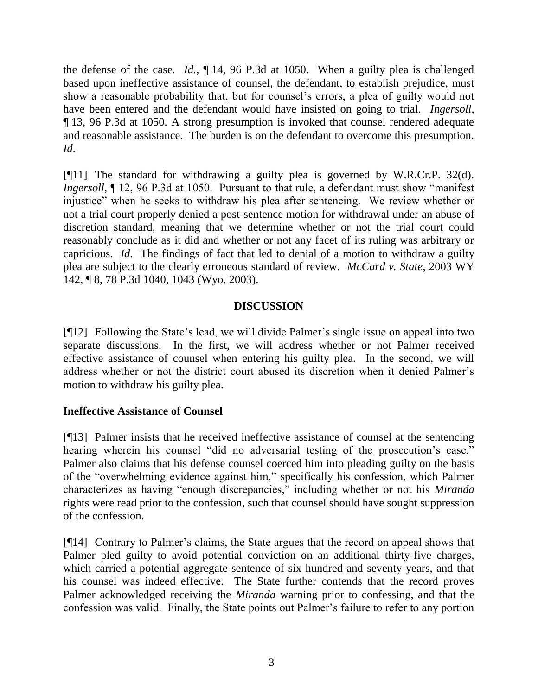the defense of the case. *Id.*, ¶ 14, 96 P.3d at 1050. When a guilty plea is challenged based upon ineffective assistance of counsel, the defendant, to establish prejudice, must show a reasonable probability that, but for counsel's errors, a plea of guilty would not have been entered and the defendant would have insisted on going to trial. *Ingersoll*, ¶ 13, 96 P.3d at 1050. A strong presumption is invoked that counsel rendered adequate and reasonable assistance. The burden is on the defendant to overcome this presumption. *Id*.

[¶11] The standard for withdrawing a guilty plea is governed by W.R.Cr.P. 32(d). *Ingersoll*,  $\P$  12, 96 P.3d at 1050. Pursuant to that rule, a defendant must show "manifest" injustice" when he seeks to withdraw his plea after sentencing. We review whether or not a trial court properly denied a post-sentence motion for withdrawal under an abuse of discretion standard, meaning that we determine whether or not the trial court could reasonably conclude as it did and whether or not any facet of its ruling was arbitrary or capricious. *Id*. The findings of fact that led to denial of a motion to withdraw a guilty plea are subject to the clearly erroneous standard of review. *McCard v. State*, 2003 WY 142, ¶ 8, 78 P.3d 1040, 1043 (Wyo. 2003).

# **DISCUSSION**

[¶12] Following the State's lead, we will divide Palmer's single issue on appeal into two separate discussions. In the first, we will address whether or not Palmer received effective assistance of counsel when entering his guilty plea. In the second, we will address whether or not the district court abused its discretion when it denied Palmer's motion to withdraw his guilty plea.

# **Ineffective Assistance of Counsel**

[¶13] Palmer insists that he received ineffective assistance of counsel at the sentencing hearing wherein his counsel "did no adversarial testing of the prosecution's case." Palmer also claims that his defense counsel coerced him into pleading guilty on the basis of the "overwhelming evidence against him," specifically his confession, which Palmer characterizes as having "enough discrepancies," including whether or not his *Miranda* rights were read prior to the confession, such that counsel should have sought suppression of the confession.

[¶14] Contrary to Palmer's claims, the State argues that the record on appeal shows that Palmer pled guilty to avoid potential conviction on an additional thirty-five charges, which carried a potential aggregate sentence of six hundred and seventy years, and that his counsel was indeed effective. The State further contends that the record proves Palmer acknowledged receiving the *Miranda* warning prior to confessing, and that the confession was valid. Finally, the State points out Palmer's failure to refer to any portion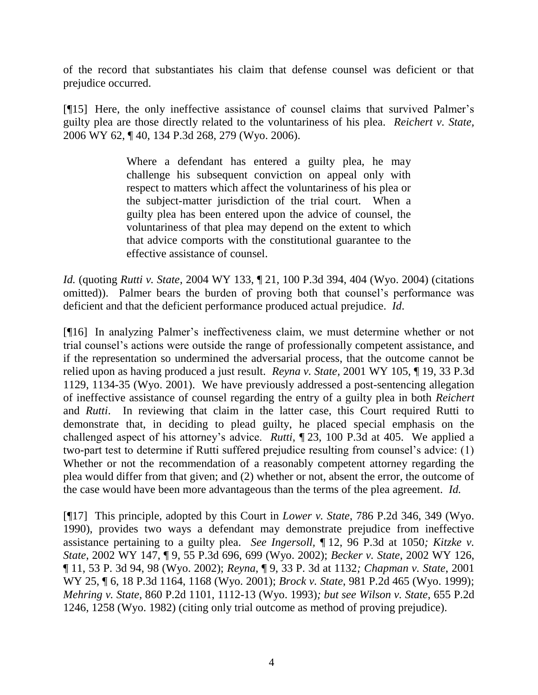of the record that substantiates his claim that defense counsel was deficient or that prejudice occurred.

[¶15] Here, the only ineffective assistance of counsel claims that survived Palmer's guilty plea are those directly related to the voluntariness of his plea. *Reichert v. State,*  2006 WY 62, ¶ 40, 134 P.3d 268, 279 (Wyo. 2006).

> Where a defendant has entered a guilty plea, he may challenge his subsequent conviction on appeal only with respect to matters which affect the voluntariness of his plea or the subject-matter jurisdiction of the trial court. When a guilty plea has been entered upon the advice of counsel, the voluntariness of that plea may depend on the extent to which that advice comports with the constitutional guarantee to the effective assistance of counsel.

*Id.* (quoting *Rutti v. State*, 2004 WY 133, ¶ 21, 100 P.3d 394, 404 (Wyo. 2004) (citations omitted)). Palmer bears the burden of proving both that counsel's performance was deficient and that the deficient performance produced actual prejudice. *Id*.

[¶16] In analyzing Palmer's ineffectiveness claim, we must determine whether or not trial counsel's actions were outside the range of professionally competent assistance, and if the representation so undermined the adversarial process, that the outcome cannot be relied upon as having produced a just result. *Reyna v. State,* 2001 WY 105, ¶ 19, 33 P.3d 1129, 1134-35 (Wyo. 2001). We have previously addressed a post-sentencing allegation of ineffective assistance of counsel regarding the entry of a guilty plea in both *Reichert*  and *Rutti*. In reviewing that claim in the latter case, this Court required Rutti to demonstrate that, in deciding to plead guilty, he placed special emphasis on the challenged aspect of his attorney's advice. *Rutti*, ¶ 23, 100 P.3d at 405. We applied a two-part test to determine if Rutti suffered prejudice resulting from counsel's advice: (1) Whether or not the recommendation of a reasonably competent attorney regarding the plea would differ from that given; and (2) whether or not, absent the error, the outcome of the case would have been more advantageous than the terms of the plea agreement. *Id.*

[¶17] This principle, adopted by this Court in *Lower v. State*, 786 P.2d 346, 349 (Wyo. 1990), provides two ways a defendant may demonstrate prejudice from ineffective assistance pertaining to a guilty plea. *See Ingersoll,* ¶ 12, 96 P.3d at 1050*; Kitzke v. State*, 2002 WY 147, ¶ 9, 55 P.3d 696, 699 (Wyo. 2002); *Becker v. State*, 2002 WY 126, ¶ 11, 53 P. 3d 94, 98 (Wyo. 2002); *Reyna*, ¶ 9, 33 P. 3d at 1132*; Chapman v. State*, 2001 WY 25, ¶ 6, 18 P.3d 1164, 1168 (Wyo. 2001); *Brock v. State*, 981 P.2d 465 (Wyo. 1999); *Mehring v. State*, 860 P.2d 1101, 1112-13 (Wyo. 1993)*; but see Wilson v. State*, 655 P.2d 1246, 1258 (Wyo. 1982) (citing only trial outcome as method of proving prejudice).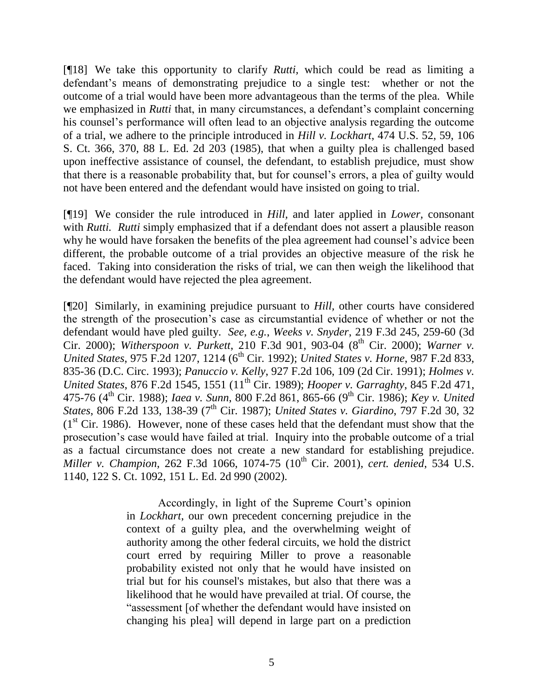[¶18] We take this opportunity to clarify *Rutti,* which could be read as limiting a defendant's means of demonstrating prejudice to a single test: whether or not the outcome of a trial would have been more advantageous than the terms of the plea. While we emphasized in *Rutti* that, in many circumstances, a defendant's complaint concerning his counsel's performance will often lead to an objective analysis regarding the outcome of a trial, we adhere to the principle introduced in *Hill v. Lockhart*, 474 U.S. 52, 59, 106 S. Ct. 366, 370, 88 L. Ed. 2d 203 (1985), that when a guilty plea is challenged based upon ineffective assistance of counsel, the defendant, to establish prejudice, must show that there is a reasonable probability that, but for counsel's errors, a plea of guilty would not have been entered and the defendant would have insisted on going to trial.

[¶19] We consider the rule introduced in *Hill,* and later applied in *Lower,* consonant with *Rutti. Rutti* simply emphasized that if a defendant does not assert a plausible reason why he would have forsaken the benefits of the plea agreement had counsel's advice been different, the probable outcome of a trial provides an objective measure of the risk he faced. Taking into consideration the risks of trial, we can then weigh the likelihood that the defendant would have rejected the plea agreement.

[¶20] Similarly, in examining prejudice pursuant to *Hill,* other courts have considered the strength of the prosecution's case as circumstantial evidence of whether or not the defendant would have pled guilty. *See, e.g.*, *Weeks v. Snyder*, 219 F.3d 245, 259-60 (3d Cir. 2000); *Witherspoon v. Purkett*, 210 F.3d 901, 903-04 (8<sup>th</sup> Cir. 2000); *Warner v. United States*, 975 F.2d 1207, 1214 (6<sup>th</sup> Cir. 1992); *United States v. Horne*, 987 F.2d 833, 835-36 (D.C. Circ. 1993); *Panuccio v. Kelly*, 927 F.2d 106, 109 (2d Cir. 1991); *Holmes v. United States*, 876 F.2d 1545, 1551 (11<sup>th</sup> Cir. 1989); *Hooper v. Garraghty*, 845 F.2d 471, 475-76 (4<sup>th</sup> Cir. 1988); *Iaea v. Sunn*, 800 F.2d 861, 865-66 (9<sup>th</sup> Cir. 1986); *Key v. United States*, 806 F.2d 133, 138-39 (7<sup>th</sup> Cir. 1987); *United States v. Giardino*, 797 F.2d 30, 32  $(1<sup>st</sup> Cir. 1986)$ . However, none of these cases held that the defendant must show that the prosecution's case would have failed at trial. Inquiry into the probable outcome of a trial as a factual circumstance does not create a new standard for establishing prejudice. *Miller v. Champion, 262 F.3d 1066, 1074-75 (10<sup>th</sup> Cir. 2001), <i>cert. denied, 534 U.S.* 1140, 122 S. Ct. 1092, 151 L. Ed. 2d 990 (2002).

> Accordingly, in light of the Supreme Court's opinion in *Lockhart*, our own precedent concerning prejudice in the context of a guilty plea, and the overwhelming weight of authority among the other federal circuits, we hold the district court erred by requiring Miller to prove a reasonable probability existed not only that he would have insisted on trial but for his counsel's mistakes, but also that there was a likelihood that he would have prevailed at trial. Of course, the "assessment [of whether the defendant would have insisted on changing his plea] will depend in large part on a prediction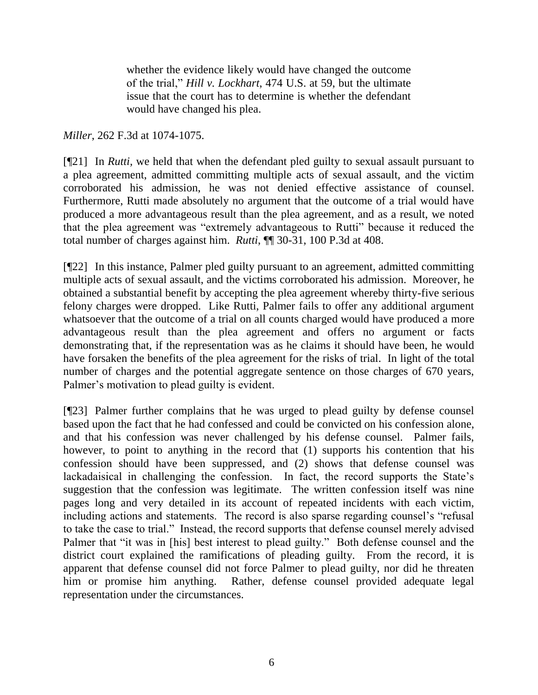whether the evidence likely would have changed the outcome of the trial," *Hill v. Lockhart*, 474 U.S. at 59, but the ultimate issue that the court has to determine is whether the defendant would have changed his plea.

*Miller*, 262 F.3d at 1074-1075.

[¶21] In *Rutti,* we held that when the defendant pled guilty to sexual assault pursuant to a plea agreement, admitted committing multiple acts of sexual assault, and the victim corroborated his admission, he was not denied effective assistance of counsel. Furthermore, Rutti made absolutely no argument that the outcome of a trial would have produced a more advantageous result than the plea agreement, and as a result, we noted that the plea agreement was "extremely advantageous to Rutti" because it reduced the total number of charges against him. *Rutti*, ¶¶ 30-31, 100 P.3d at 408.

[¶22] In this instance, Palmer pled guilty pursuant to an agreement, admitted committing multiple acts of sexual assault, and the victims corroborated his admission. Moreover, he obtained a substantial benefit by accepting the plea agreement whereby thirty-five serious felony charges were dropped. Like Rutti, Palmer fails to offer any additional argument whatsoever that the outcome of a trial on all counts charged would have produced a more advantageous result than the plea agreement and offers no argument or facts demonstrating that, if the representation was as he claims it should have been, he would have forsaken the benefits of the plea agreement for the risks of trial. In light of the total number of charges and the potential aggregate sentence on those charges of 670 years, Palmer's motivation to plead guilty is evident.

[¶23] Palmer further complains that he was urged to plead guilty by defense counsel based upon the fact that he had confessed and could be convicted on his confession alone, and that his confession was never challenged by his defense counsel. Palmer fails, however, to point to anything in the record that (1) supports his contention that his confession should have been suppressed, and (2) shows that defense counsel was lackadaisical in challenging the confession. In fact, the record supports the State's suggestion that the confession was legitimate. The written confession itself was nine pages long and very detailed in its account of repeated incidents with each victim, including actions and statements. The record is also sparse regarding counsel's "refusal to take the case to trial." Instead, the record supports that defense counsel merely advised Palmer that "it was in [his] best interest to plead guilty." Both defense counsel and the district court explained the ramifications of pleading guilty. From the record, it is apparent that defense counsel did not force Palmer to plead guilty, nor did he threaten him or promise him anything. Rather, defense counsel provided adequate legal representation under the circumstances.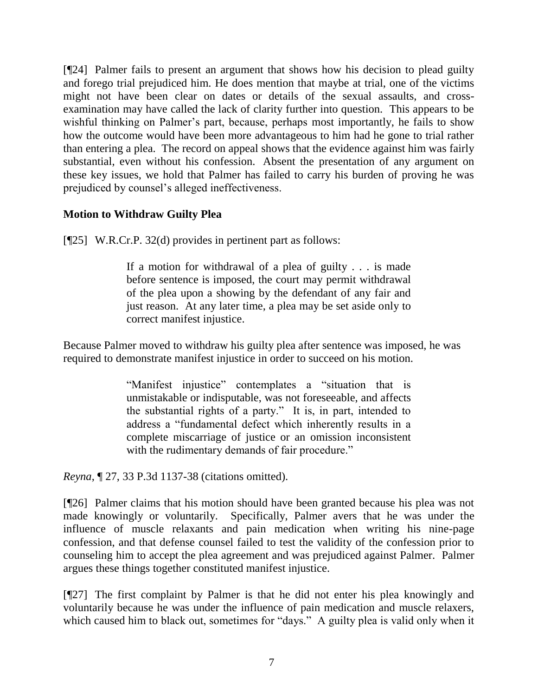[¶24] Palmer fails to present an argument that shows how his decision to plead guilty and forego trial prejudiced him. He does mention that maybe at trial, one of the victims might not have been clear on dates or details of the sexual assaults, and crossexamination may have called the lack of clarity further into question. This appears to be wishful thinking on Palmer's part, because, perhaps most importantly, he fails to show how the outcome would have been more advantageous to him had he gone to trial rather than entering a plea. The record on appeal shows that the evidence against him was fairly substantial, even without his confession. Absent the presentation of any argument on these key issues, we hold that Palmer has failed to carry his burden of proving he was prejudiced by counsel's alleged ineffectiveness.

# **Motion to Withdraw Guilty Plea**

[¶25] W.R.Cr.P. 32(d) provides in pertinent part as follows:

If a motion for withdrawal of a plea of guilty . . . is made before sentence is imposed, the court may permit withdrawal of the plea upon a showing by the defendant of any fair and just reason. At any later time, a plea may be set aside only to correct manifest injustice.

Because Palmer moved to withdraw his guilty plea after sentence was imposed, he was required to demonstrate manifest injustice in order to succeed on his motion.

> "Manifest injustice" contemplates a "situation that is unmistakable or indisputable, was not foreseeable, and affects the substantial rights of a party." It is, in part, intended to address a "fundamental defect which inherently results in a complete miscarriage of justice or an omission inconsistent with the rudimentary demands of fair procedure."

*Reyna*, ¶ 27, 33 P.3d 1137-38 (citations omitted).

[¶26] Palmer claims that his motion should have been granted because his plea was not made knowingly or voluntarily. Specifically, Palmer avers that he was under the influence of muscle relaxants and pain medication when writing his nine-page confession, and that defense counsel failed to test the validity of the confession prior to counseling him to accept the plea agreement and was prejudiced against Palmer. Palmer argues these things together constituted manifest injustice.

[¶27] The first complaint by Palmer is that he did not enter his plea knowingly and voluntarily because he was under the influence of pain medication and muscle relaxers, which caused him to black out, sometimes for "days." A guilty plea is valid only when it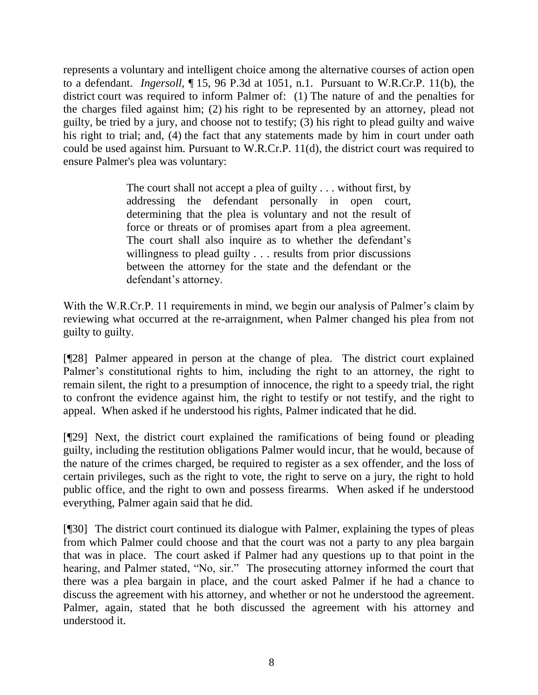represents a voluntary and intelligent choice among the alternative courses of action open to a defendant. *Ingersoll*, ¶ 15, 96 P.3d at 1051, n.1. Pursuant to W.R.Cr.P. 11(b), the district court was required to inform Palmer of: (1) The nature of and the penalties for the charges filed against him; (2) his right to be represented by an attorney, plead not guilty, be tried by a jury, and choose not to testify; (3) his right to plead guilty and waive his right to trial; and, (4) the fact that any statements made by him in court under oath could be used against him. Pursuant to W.R.Cr.P. 11(d), the district court was required to ensure Palmer's plea was voluntary:

> The court shall not accept a plea of guilty . . . without first, by addressing the defendant personally in open court, determining that the plea is voluntary and not the result of force or threats or of promises apart from a plea agreement. The court shall also inquire as to whether the defendant's willingness to plead guilty . . . results from prior discussions between the attorney for the state and the defendant or the defendant's attorney.

With the W.R.Cr.P. 11 requirements in mind, we begin our analysis of Palmer's claim by reviewing what occurred at the re-arraignment, when Palmer changed his plea from not guilty to guilty.

[¶28] Palmer appeared in person at the change of plea. The district court explained Palmer's constitutional rights to him, including the right to an attorney, the right to remain silent, the right to a presumption of innocence, the right to a speedy trial, the right to confront the evidence against him, the right to testify or not testify, and the right to appeal. When asked if he understood his rights, Palmer indicated that he did.

[¶29] Next, the district court explained the ramifications of being found or pleading guilty, including the restitution obligations Palmer would incur, that he would, because of the nature of the crimes charged, be required to register as a sex offender, and the loss of certain privileges, such as the right to vote, the right to serve on a jury, the right to hold public office, and the right to own and possess firearms. When asked if he understood everything, Palmer again said that he did.

[¶30] The district court continued its dialogue with Palmer, explaining the types of pleas from which Palmer could choose and that the court was not a party to any plea bargain that was in place. The court asked if Palmer had any questions up to that point in the hearing, and Palmer stated, "No, sir." The prosecuting attorney informed the court that there was a plea bargain in place, and the court asked Palmer if he had a chance to discuss the agreement with his attorney, and whether or not he understood the agreement. Palmer, again, stated that he both discussed the agreement with his attorney and understood it.